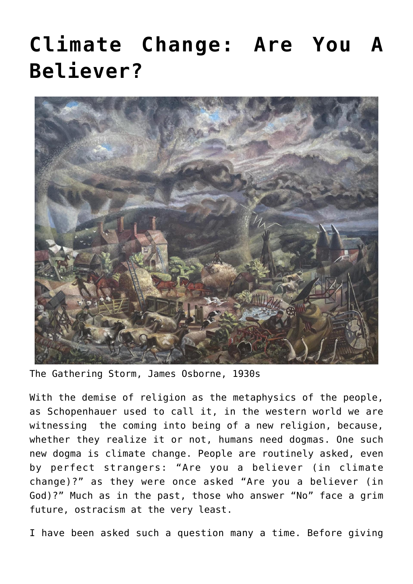## **[Climate Change: Are You A](https://www.newenglishreview.org/articles/climate-change-are-you-a-believer/) [Believer?](https://www.newenglishreview.org/articles/climate-change-are-you-a-believer/)**



The Gathering Storm, James Osborne, 1930s

With the demise of religion as the metaphysics of the people, as Schopenhauer used to call it, in the western world we are witnessing the coming into being of a new religion, because, whether they realize it or not, humans need dogmas. One such new dogma is climate change. People are routinely asked, even by perfect strangers: "Are you a believer (in climate change)?" as they were once asked "Are you a believer (in God)?" Much as in the past, those who answer "No" face a grim future, ostracism at the very least.

I have been asked such a question many a time. Before giving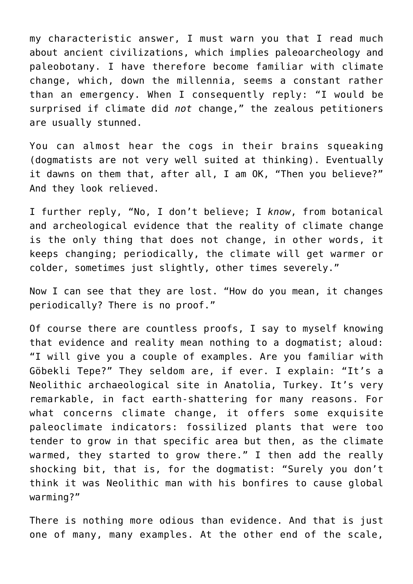my characteristic answer, I must warn you that I read much about ancient civilizations, which implies paleoarcheology and paleobotany. I have therefore become familiar with climate change, which, down the millennia, seems a constant rather than an emergency. When I consequently reply: "I would be surprised if climate did *not* change," the zealous petitioners are usually stunned.

You can almost hear the cogs in their brains squeaking (dogmatists are not very well suited at thinking). Eventually it dawns on them that, after all, I am OK, "Then you believe?" And they look relieved.

I further reply, "No, I don't believe; I *know*, from botanical and archeological evidence that the reality of climate change is the only thing that does not change, in other words, it keeps changing; periodically, the climate will get warmer or colder, sometimes just slightly, other times severely."

Now I can see that they are lost. "How do you mean, it changes periodically? There is no proof."

Of course there are countless proofs, I say to myself knowing that evidence and reality mean nothing to a dogmatist; aloud: "I will give you a couple of examples. Are you familiar with Göbekli Tepe?" They seldom are, if ever. I explain: "It's a Neolithic archaeological site in Anatolia, Turkey. It's very remarkable, in fact earth-shattering for many reasons. For what concerns climate change, it offers some exquisite paleoclimate indicators: fossilized plants that were too tender to grow in that specific area but then, as the climate warmed, they started to grow there." I then add the really shocking bit, that is, for the dogmatist: "Surely you don't think it was Neolithic man with his bonfires to cause global warming?"

There is nothing more odious than evidence. And that is just one of many, many examples. At the other end of the scale,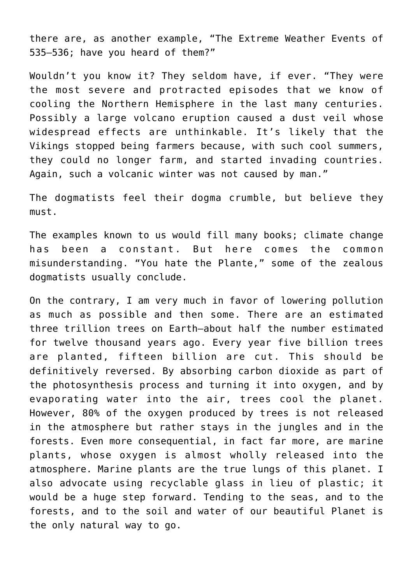there are, as another example, "The Extreme Weather Events of 535–536; have you heard of them?"

Wouldn't you know it? They seldom have, if ever. "They were the most severe and protracted episodes that we know of cooling the Northern Hemisphere in the last many centuries. Possibly a large volcano eruption caused a dust veil whose widespread effects are unthinkable. It's likely that the Vikings stopped being farmers because, with such cool summers, they could no longer farm, and started invading countries. Again, such a volcanic winter was not caused by man."

The dogmatists feel their dogma crumble, but believe they must.

The examples known to us would fill many books; climate change has been a constant. But here comes the common misunderstanding. "You hate the Plante," some of the zealous dogmatists usually conclude.

On the contrary, I am very much in favor of lowering pollution as much as possible and then some. There are an estimated three trillion trees on Earth—about half the number estimated for twelve thousand years ago. Every year five billion trees are planted, fifteen billion are cut. This should be definitively reversed. By absorbing carbon dioxide as part of the photosynthesis process and turning it into oxygen, and by evaporating water into the air, trees cool the planet. However, 80% of the oxygen produced by trees is not released in the atmosphere but rather stays in the jungles and in the forests. Even more consequential, in fact far more, are marine plants, whose oxygen is almost wholly released into the atmosphere. Marine plants are the true lungs of this planet. I also advocate using recyclable glass in lieu of plastic; it would be a huge step forward. Tending to the seas, and to the forests, and to the soil and water of our beautiful Planet is the only natural way to go.